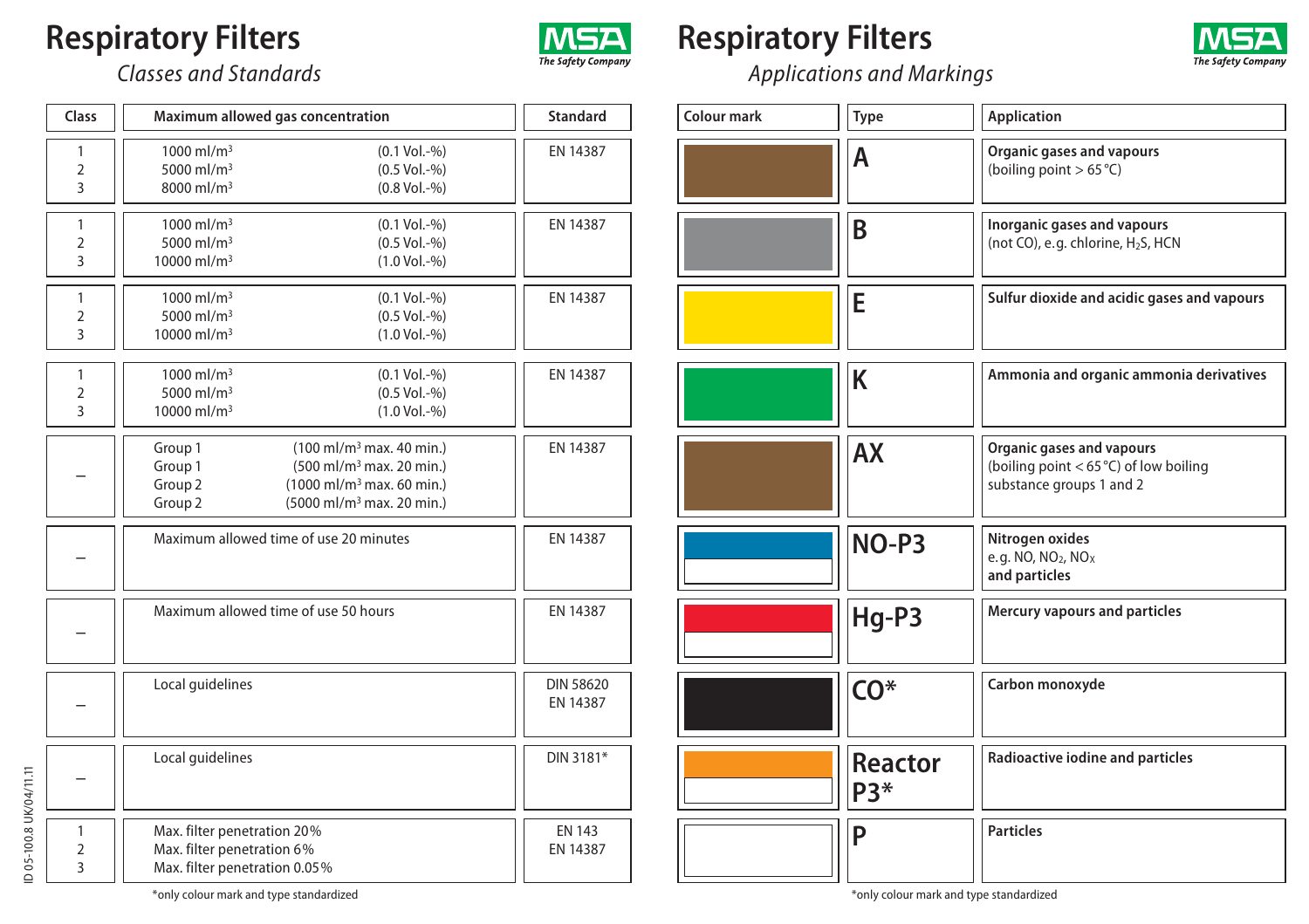## **Respiratory Filters**



## **Respiratory Filters**



*Applications and Markings*

| Colour mark | Type           | <b>Application</b>                                                                                |
|-------------|----------------|---------------------------------------------------------------------------------------------------|
|             | А              | Organic gases and vapours<br>(boiling point $> 65^{\circ}$ C)                                     |
|             | B              | Inorganic gases and vapours<br>(not CO), e.g. chlorine, H <sub>2</sub> S, HCN                     |
|             | E              | Sulfur dioxide and acidic gases and vapours                                                       |
|             | K              | Ammonia and organic ammonia derivatives                                                           |
|             | <b>AX</b>      | Organic gases and vapours<br>(boiling point $<$ 65 °C) of low boiling<br>substance groups 1 and 2 |
|             | NO-P3          | Nitrogen oxides<br>e.g. NO, NO <sub>2</sub> , NO <sub>X</sub><br>and particles                    |
|             | Hg-P3          | Mercury vapours and particles                                                                     |
|             | $CO*$          | Carbon monoxyde                                                                                   |
|             | Reactor<br>P3* | Radioactive iodine and particles                                                                  |
|             | Ρ              | <b>Particles</b>                                                                                  |

*Classes and Standards* **Class Maximum allowed gas concentration Standard** 1 2 3

|                        | 1<br>$\overline{2}$<br>$\overline{3}$          | $1000$ ml/m <sup>3</sup><br>$(0.1 Vol.-\%)$<br>5000 ml/m <sup>3</sup><br>$(0.5 Vol.-%)$<br>8000 ml/m <sup>3</sup><br>$(0.8$ Vol.-% $)$                                                                                           | EN 14387                     |
|------------------------|------------------------------------------------|----------------------------------------------------------------------------------------------------------------------------------------------------------------------------------------------------------------------------------|------------------------------|
|                        | 1<br>$\overline{2}$<br>3                       | 1000 ml/m <sup>3</sup><br>$(0.1 Vol.-%)$<br>5000 ml/m <sup>3</sup><br>$(0.5 Vol.-%)$<br>10000 ml/m <sup>3</sup><br>$(1.0 \text{ Vol.} -\frac{96}{6})$                                                                            | EN 14387                     |
|                        | 1<br>$\overline{2}$<br>$\overline{\mathbf{3}}$ | 1000 ml/m <sup>3</sup><br>$(0.1 Vol.-%)$<br>5000 ml/m <sup>3</sup><br>$(0.5 Vol.-%)$<br>10000 ml/m <sup>3</sup><br>$(1.0 Vol.-%)$                                                                                                | EN 14387                     |
|                        | 1<br>$\overline{2}$<br>3                       | 1000 ml/m <sup>3</sup><br>$(0.1 Vol.-%)$<br>5000 ml/m <sup>3</sup><br>$(0.5 Vol.-%)$<br>10000 ml/m <sup>3</sup><br>$(1.0 Vol.-%)$                                                                                                | EN 14387                     |
|                        |                                                | (100 ml/m <sup>3</sup> max. 40 min.)<br>Group 1<br>(500 ml/m <sup>3</sup> max. 20 min.)<br>Group 1<br>Group <sub>2</sub><br>(1000 ml/m <sup>3</sup> max, 60 min.)<br>(5000 ml/m <sup>3</sup> max. 20 min.)<br>Group <sub>2</sub> | EN 14387                     |
|                        |                                                | Maximum allowed time of use 20 minutes                                                                                                                                                                                           | EN 14387                     |
|                        |                                                | Maximum allowed time of use 50 hours                                                                                                                                                                                             | EN 14387                     |
|                        |                                                | Local quidelines                                                                                                                                                                                                                 | <b>DIN 58620</b><br>EN 14387 |
|                        |                                                | Local quidelines                                                                                                                                                                                                                 | DIN 3181*                    |
| D 05-100.8 UK/04/11.11 | 1<br>$\overline{2}$<br>$\overline{3}$          | Max. filter penetration 20%<br>Max. filter penetration 6%<br>Max. filter penetration 0.05%                                                                                                                                       | <b>EN 143</b><br>EN 14387    |
|                        |                                                |                                                                                                                                                                                                                                  |                              |

ā

\*only colour mark and type standardized \*only colour mark and type standardized